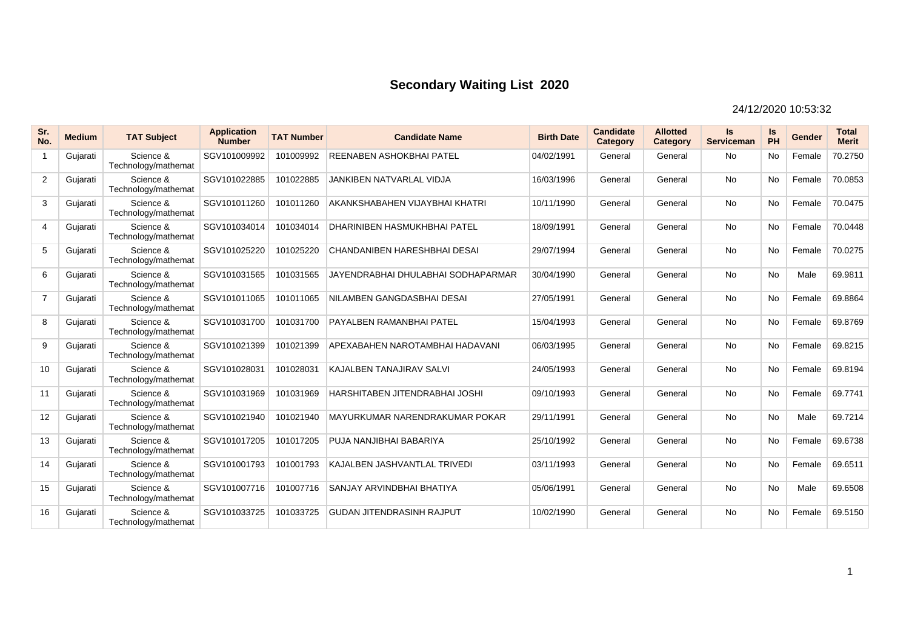| Sr.<br>No.     | <b>Medium</b> | <b>TAT Subject</b>               | <b>Application</b><br><b>Number</b> | <b>TAT Number</b> | <b>Candidate Name</b>              | <b>Birth Date</b> | <b>Candidate</b><br>Category | <b>Allotted</b><br>Category | ls.<br><b>Serviceman</b> | Is<br>PH  | Gender | <b>Total</b><br><b>Merit</b> |
|----------------|---------------|----------------------------------|-------------------------------------|-------------------|------------------------------------|-------------------|------------------------------|-----------------------------|--------------------------|-----------|--------|------------------------------|
| $\mathbf{1}$   | Gujarati      | Science &<br>Technology/mathemat | SGV101009992                        | 101009992         | REENABEN ASHOKBHAI PATEL           | 04/02/1991        | General                      | General                     | <b>No</b>                | <b>No</b> | Female | 70.2750                      |
| $\overline{2}$ | Gujarati      | Science &<br>Technology/mathemat | SGV101022885                        | 101022885         | <b>JANKIBEN NATVARLAL VIDJA</b>    | 16/03/1996        | General                      | General                     | <b>No</b>                | No        | Female | 70.0853                      |
| 3              | Gujarati      | Science &<br>Technology/mathemat | SGV101011260                        | 101011260         | AKANKSHABAHEN VIJAYBHAI KHATRI     | 10/11/1990        | General                      | General                     | <b>No</b>                | <b>No</b> | Female | 70.0475                      |
| $\overline{4}$ | Gujarati      | Science &<br>Technology/mathemat | SGV101034014                        | 101034014         | DHARINIBEN HASMUKHBHAI PATEL       | 18/09/1991        | General                      | General                     | <b>No</b>                | <b>No</b> | Female | 70.0448                      |
| 5              | Gujarati      | Science &<br>Technology/mathemat | SGV101025220                        | 101025220         | CHANDANIBEN HARESHBHAI DESAI       | 29/07/1994        | General                      | General                     | <b>No</b>                | <b>No</b> | Female | 70.0275                      |
| 6              | Gujarati      | Science &<br>Technology/mathemat | SGV101031565                        | 101031565         | JAYENDRABHAI DHULABHAI SODHAPARMAR | 30/04/1990        | General                      | General                     | <b>No</b>                | <b>No</b> | Male   | 69.9811                      |
| $\overline{7}$ | Gujarati      | Science &<br>Technology/mathemat | SGV101011065                        | 101011065         | NILAMBEN GANGDASBHAI DESAI         | 27/05/1991        | General                      | General                     | <b>No</b>                | <b>No</b> | Female | 69.8864                      |
| 8              | Guiarati      | Science &<br>Technology/mathemat | SGV101031700                        | 101031700         | PAYALBEN RAMANBHAI PATEL           | 15/04/1993        | General                      | General                     | <b>No</b>                | <b>No</b> | Female | 69.8769                      |
| 9              | Gujarati      | Science &<br>Technology/mathemat | SGV101021399                        | 101021399         | APEXABAHEN NAROTAMBHAI HADAVANI    | 06/03/1995        | General                      | General                     | <b>No</b>                | <b>No</b> | Female | 69.8215                      |
| 10             | Gujarati      | Science &<br>Technology/mathemat | SGV101028031                        | 101028031         | KAJALBEN TANAJIRAV SALVI           | 24/05/1993        | General                      | General                     | <b>No</b>                | <b>No</b> | Female | 69.8194                      |
| 11             | Gujarati      | Science &<br>Technology/mathemat | SGV101031969                        | 101031969         | HARSHITABEN JITENDRABHAI JOSHI     | 09/10/1993        | General                      | General                     | <b>No</b>                | <b>No</b> | Female | 69.7741                      |
| 12             | Gujarati      | Science &<br>Technology/mathemat | SGV101021940                        | 101021940         | MAYURKUMAR NARENDRAKUMAR POKAR     | 29/11/1991        | General                      | General                     | <b>No</b>                | <b>No</b> | Male   | 69.7214                      |
| 13             | Gujarati      | Science &<br>Technology/mathemat | SGV101017205                        | 101017205         | PUJA NANJIBHAI BABARIYA            | 25/10/1992        | General                      | General                     | <b>No</b>                | No        | Female | 69.6738                      |
| 14             | Gujarati      | Science &<br>Technology/mathemat | SGV101001793                        | 101001793         | KAJALBEN JASHVANTLAL TRIVEDI       | 03/11/1993        | General                      | General                     | <b>No</b>                | <b>No</b> | Female | 69.6511                      |
| 15             | Gujarati      | Science &<br>Technology/mathemat | SGV101007716                        | 101007716         | SANJAY ARVINDBHAI BHATIYA          | 05/06/1991        | General                      | General                     | <b>No</b>                | No        | Male   | 69.6508                      |
| 16             | Gujarati      | Science &<br>Technology/mathemat | SGV101033725                        | 101033725         | <b>GUDAN JITENDRASINH RAJPUT</b>   | 10/02/1990        | General                      | General                     | <b>No</b>                | <b>No</b> | Female | 69.5150                      |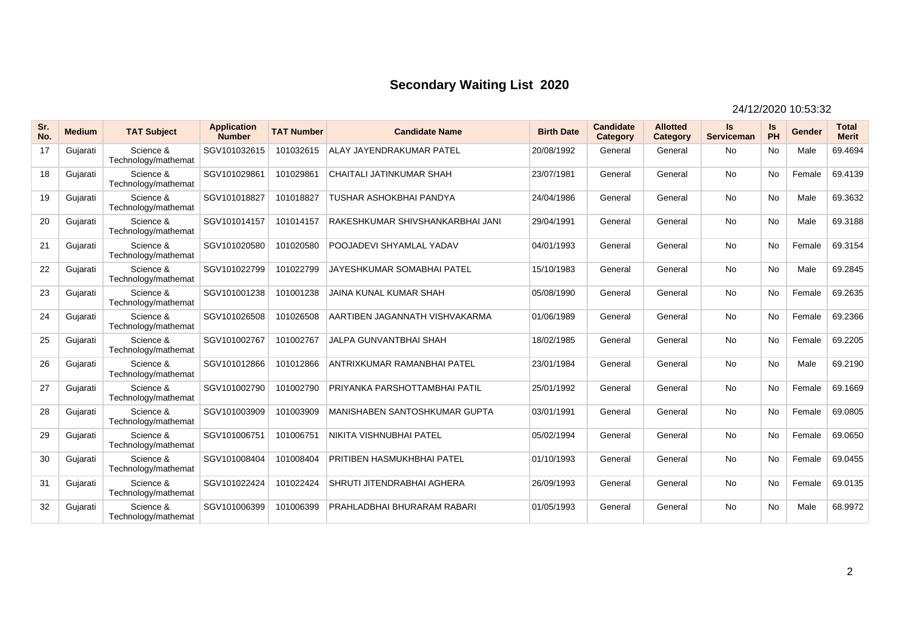| Sr.<br>No. | <b>Medium</b> | <b>TAT Subject</b>               | <b>Application</b><br><b>Number</b> | <b>TAT Number</b> | <b>Candidate Name</b>            | <b>Birth Date</b> | <b>Candidate</b><br>Category | <b>Allotted</b><br>Category | Is.<br>Serviceman | ls<br>PH  | Gender | <b>Total</b><br><b>Merit</b> |
|------------|---------------|----------------------------------|-------------------------------------|-------------------|----------------------------------|-------------------|------------------------------|-----------------------------|-------------------|-----------|--------|------------------------------|
| 17         | Gujarati      | Science &<br>Technology/mathemat | SGV101032615                        | 101032615         | ALAY JAYENDRAKUMAR PATEL         | 20/08/1992        | General                      | General                     | <b>No</b>         | <b>No</b> | Male   | 69.4694                      |
| 18         | Gujarati      | Science &<br>Technology/mathemat | SGV101029861                        | 101029861         | CHAITALI JATINKUMAR SHAH         | 23/07/1981        | General                      | General                     | <b>No</b>         | No        | Female | 69.4139                      |
| 19         | Gujarati      | Science &<br>Technology/mathemat | SGV101018827                        | 101018827         | <b>TUSHAR ASHOKBHAI PANDYA</b>   | 24/04/1986        | General                      | General                     | No                | <b>No</b> | Male   | 69.3632                      |
| 20         | Gujarati      | Science &<br>Technology/mathemat | SGV101014157                        | 101014157         | RAKESHKUMAR SHIVSHANKARBHAI JANI | 29/04/1991        | General                      | General                     | <b>No</b>         | No        | Male   | 69.3188                      |
| 21         | Gujarati      | Science &<br>Technology/mathemat | SGV101020580                        | 101020580         | POOJADEVI SHYAMLAL YADAV         | 04/01/1993        | General                      | General                     | <b>No</b>         | <b>No</b> | Female | 69.3154                      |
| 22         | Gujarati      | Science &<br>Technology/mathemat | SGV101022799                        | 101022799         | JAYESHKUMAR SOMABHAI PATEL       | 15/10/1983        | General                      | General                     | No                | <b>No</b> | Male   | 69.2845                      |
| 23         | Gujarati      | Science &<br>Technology/mathemat | SGV101001238                        | 101001238         | <b>JAINA KUNAL KUMAR SHAH</b>    | 05/08/1990        | General                      | General                     | <b>No</b>         | <b>No</b> | Female | 69.2635                      |
| 24         | Gujarati      | Science &<br>Technology/mathemat | SGV101026508                        | 101026508         | AARTIBEN JAGANNATH VISHVAKARMA   | 01/06/1989        | General                      | General                     | <b>No</b>         | <b>No</b> | Female | 69.2366                      |
| 25         | Gujarati      | Science &<br>Technology/mathemat | SGV101002767                        | 101002767         | <b>JALPA GUNVANTBHAI SHAH</b>    | 18/02/1985        | General                      | General                     | <b>No</b>         | <b>No</b> | Female | 69.2205                      |
| 26         | Gujarati      | Science &<br>Technology/mathemat | SGV101012866                        | 101012866         | ANTRIXKUMAR RAMANBHAI PATEL      | 23/01/1984        | General                      | General                     | No                | <b>No</b> | Male   | 69.2190                      |
| 27         | Gujarati      | Science &<br>Technology/mathemat | SGV101002790                        | 101002790         | PRIYANKA PARSHOTTAMBHAI PATIL    | 25/01/1992        | General                      | General                     | <b>No</b>         | No        | Female | 69.1669                      |
| 28         | Gujarati      | Science &<br>Technology/mathemat | SGV101003909                        | 101003909         | MANISHABEN SANTOSHKUMAR GUPTA    | 03/01/1991        | General                      | General                     | No                | <b>No</b> | Female | 69.0805                      |
| 29         | Gujarati      | Science &<br>Technology/mathemat | SGV101006751                        | 101006751         | NIKITA VISHNUBHAI PATEL          | 05/02/1994        | General                      | General                     | <b>No</b>         | No        | Female | 69.0650                      |
| 30         | Gujarati      | Science &<br>Technology/mathemat | SGV101008404                        | 101008404         | PRITIBEN HASMUKHBHAI PATEL       | 01/10/1993        | General                      | General                     | No                | <b>No</b> | Female | 69.0455                      |
| 31         | Gujarati      | Science &<br>Technology/mathemat | SGV101022424                        | 101022424         | SHRUTI JITENDRABHAI AGHERA       | 26/09/1993        | General                      | General                     | <b>No</b>         | No        | Female | 69.0135                      |
| 32         | Gujarati      | Science &<br>Technology/mathemat | SGV101006399                        | 101006399         | PRAHLADBHAI BHURARAM RABARI      | 01/05/1993        | General                      | General                     | <b>No</b>         | <b>No</b> | Male   | 68.9972                      |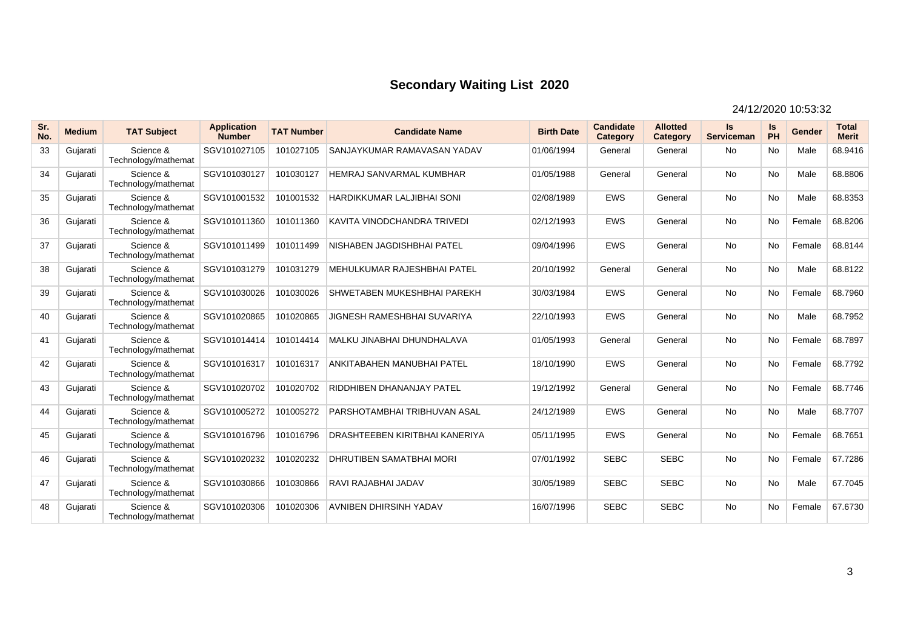| Sr.<br>No. | <b>Medium</b> | <b>TAT Subject</b>               | <b>Application</b><br><b>Number</b> | <b>TAT Number</b> | <b>Candidate Name</b>              | <b>Birth Date</b> | <b>Candidate</b><br>Category | <b>Allotted</b><br>Category | <b>Is</b><br><b>Serviceman</b> | Is<br>PH  | Gender | <b>Total</b><br><b>Merit</b> |
|------------|---------------|----------------------------------|-------------------------------------|-------------------|------------------------------------|-------------------|------------------------------|-----------------------------|--------------------------------|-----------|--------|------------------------------|
| 33         | Gujarati      | Science &<br>Technology/mathemat | SGV101027105                        | 101027105         | SANJAYKUMAR RAMAVASAN YADAV        | 01/06/1994        | General                      | General                     | <b>No</b>                      | <b>No</b> | Male   | 68.9416                      |
| 34         | Gujarati      | Science &<br>Technology/mathemat | SGV101030127                        | 101030127         | <b>HEMRAJ SANVARMAL KUMBHAR</b>    | 01/05/1988        | General                      | General                     | <b>No</b>                      | No        | Male   | 68.8806                      |
| 35         | Gujarati      | Science &<br>Technology/mathemat | SGV101001532                        | 101001532         | <b>HARDIKKUMAR LALJIBHAI SONI</b>  | 02/08/1989        | <b>EWS</b>                   | General                     | <b>No</b>                      | <b>No</b> | Male   | 68.8353                      |
| 36         | Gujarati      | Science &<br>Technology/mathemat | SGV101011360                        | 101011360         | KAVITA VINODCHANDRA TRIVEDI        | 02/12/1993        | <b>EWS</b>                   | General                     | <b>No</b>                      | No        | Female | 68.8206                      |
| 37         | Gujarati      | Science &<br>Technology/mathemat | SGV101011499                        | 101011499         | NISHABEN JAGDISHBHAI PATEL         | 09/04/1996        | <b>EWS</b>                   | General                     | <b>No</b>                      | <b>No</b> | Female | 68.8144                      |
| 38         | Gujarati      | Science &<br>Technology/mathemat | SGV101031279                        | 101031279         | MEHULKUMAR RAJESHBHAI PATEL        | 20/10/1992        | General                      | General                     | <b>No</b>                      | <b>No</b> | Male   | 68.8122                      |
| 39         | Gujarati      | Science &<br>Technology/mathemat | SGV101030026                        | 101030026         | SHWETABEN MUKESHBHAI PAREKH        | 30/03/1984        | <b>EWS</b>                   | General                     | <b>No</b>                      | <b>No</b> | Female | 68.7960                      |
| 40         | Gujarati      | Science &<br>Technology/mathemat | SGV101020865                        | 101020865         | <b>JIGNESH RAMESHBHAI SUVARIYA</b> | 22/10/1993        | <b>EWS</b>                   | General                     | <b>No</b>                      | <b>No</b> | Male   | 68.7952                      |
| 41         | Gujarati      | Science &<br>Technology/mathemat | SGV101014414                        | 101014414         | MALKU JINABHAI DHUNDHALAVA         | 01/05/1993        | General                      | General                     | <b>No</b>                      | No        | Female | 68.7897                      |
| 42         | Gujarati      | Science &<br>Technology/mathemat | SGV101016317                        | 101016317         | ANKITABAHEN MANUBHAI PATEL         | 18/10/1990        | <b>EWS</b>                   | General                     | <b>No</b>                      | No        | Female | 68.7792                      |
| 43         | Gujarati      | Science &<br>Technology/mathemat | SGV101020702                        | 101020702         | RIDDHIBEN DHANANJAY PATEL          | 19/12/1992        | General                      | General                     | <b>No</b>                      | <b>No</b> | Female | 68.7746                      |
| 44         | Gujarati      | Science &<br>Technology/mathemat | SGV101005272                        | 101005272         | PARSHOTAMBHAI TRIBHUVAN ASAL       | 24/12/1989        | <b>EWS</b>                   | General                     | <b>No</b>                      | <b>No</b> | Male   | 68.7707                      |
| 45         | Gujarati      | Science &<br>Technology/mathemat | SGV101016796                        | 101016796         | DRASHTEEBEN KIRITBHAI KANERIYA     | 05/11/1995        | <b>EWS</b>                   | General                     | <b>No</b>                      | <b>No</b> | Female | 68.7651                      |
| 46         | Gujarati      | Science &<br>Technology/mathemat | SGV101020232                        | 101020232         | <b>DHRUTIBEN SAMATBHAI MORI</b>    | 07/01/1992        | <b>SEBC</b>                  | <b>SEBC</b>                 | <b>No</b>                      | <b>No</b> | Female | 67.7286                      |
| 47         | Gujarati      | Science &<br>Technology/mathemat | SGV101030866                        | 101030866         | RAVI RAJABHAI JADAV                | 30/05/1989        | <b>SEBC</b>                  | <b>SEBC</b>                 | <b>No</b>                      | No        | Male   | 67.7045                      |
| 48         | Gujarati      | Science &<br>Technology/mathemat | SGV101020306                        | 101020306         | <b>AVNIBEN DHIRSINH YADAV</b>      | 16/07/1996        | <b>SEBC</b>                  | <b>SEBC</b>                 | <b>No</b>                      | <b>No</b> | Female | 67.6730                      |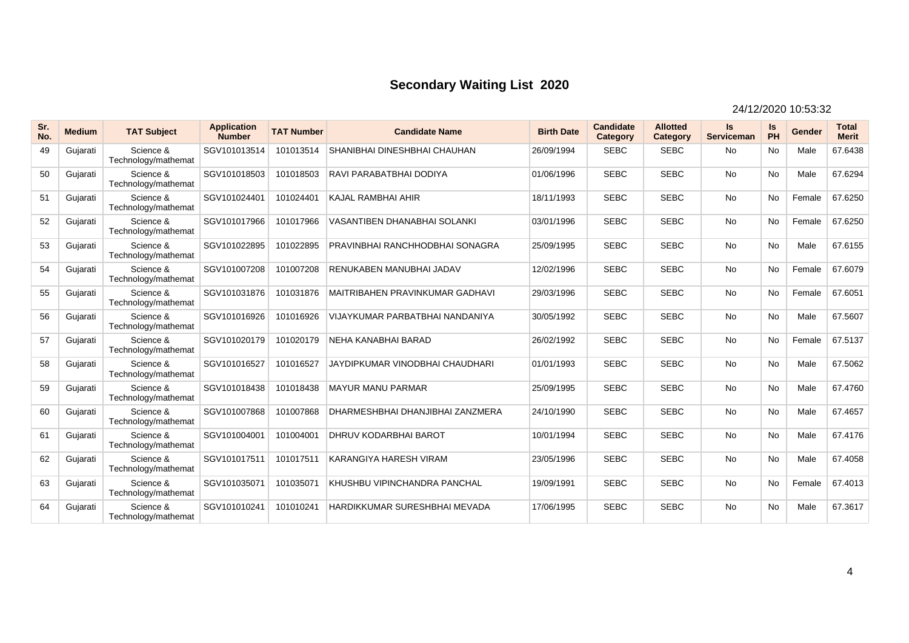| Sr.<br>No. | <b>Medium</b> | <b>TAT Subject</b>               | <b>Application</b><br><b>Number</b> | <b>TAT Number</b> | <b>Candidate Name</b>                  | <b>Birth Date</b> | <b>Candidate</b><br>Category | <b>Allotted</b><br>Category | <b>Is</b><br><b>Serviceman</b> | Is<br>PH  | Gender | <b>Total</b><br><b>Merit</b> |
|------------|---------------|----------------------------------|-------------------------------------|-------------------|----------------------------------------|-------------------|------------------------------|-----------------------------|--------------------------------|-----------|--------|------------------------------|
| 49         | Gujarati      | Science &<br>Technology/mathemat | SGV101013514                        | 101013514         | SHANIBHAI DINESHBHAI CHAUHAN           | 26/09/1994        | <b>SEBC</b>                  | <b>SEBC</b>                 | <b>No</b>                      | <b>No</b> | Male   | 67.6438                      |
| 50         | Gujarati      | Science &<br>Technology/mathemat | SGV101018503                        | 101018503         | RAVI PARABATBHAI DODIYA                | 01/06/1996        | <b>SEBC</b>                  | <b>SEBC</b>                 | <b>No</b>                      | No        | Male   | 67.6294                      |
| 51         | Gujarati      | Science &<br>Technology/mathemat | SGV101024401                        | 101024401         | <b>KAJAL RAMBHAI AHIR</b>              | 18/11/1993        | <b>SEBC</b>                  | <b>SEBC</b>                 | <b>No</b>                      | <b>No</b> | Female | 67.6250                      |
| 52         | Gujarati      | Science &<br>Technology/mathemat | SGV101017966                        | 101017966         | <b>VASANTIBEN DHANABHAI SOLANKI</b>    | 03/01/1996        | <b>SEBC</b>                  | <b>SEBC</b>                 | <b>No</b>                      | <b>No</b> | Female | 67.6250                      |
| 53         | Gujarati      | Science &<br>Technology/mathemat | SGV101022895                        | 101022895         | PRAVINBHAI RANCHHODBHAI SONAGRA        | 25/09/1995        | <b>SEBC</b>                  | <b>SEBC</b>                 | <b>No</b>                      | <b>No</b> | Male   | 67.6155                      |
| 54         | Gujarati      | Science &<br>Technology/mathemat | SGV101007208                        | 101007208         | RENUKABEN MANUBHAI JADAV               | 12/02/1996        | <b>SEBC</b>                  | <b>SEBC</b>                 | <b>No</b>                      | <b>No</b> | Female | 67.6079                      |
| 55         | Gujarati      | Science &<br>Technology/mathemat | SGV101031876                        | 101031876         | <b>MAITRIBAHEN PRAVINKUMAR GADHAVI</b> | 29/03/1996        | <b>SEBC</b>                  | <b>SEBC</b>                 | <b>No</b>                      | <b>No</b> | Female | 67.6051                      |
| 56         | Gujarati      | Science &<br>Technology/mathemat | SGV101016926                        | 101016926         | VIJAYKUMAR PARBATBHAI NANDANIYA        | 30/05/1992        | <b>SEBC</b>                  | <b>SEBC</b>                 | <b>No</b>                      | <b>No</b> | Male   | 67.5607                      |
| 57         | Gujarati      | Science &<br>Technology/mathemat | SGV101020179                        | 101020179         | NEHA KANABHAI BARAD                    | 26/02/1992        | <b>SEBC</b>                  | <b>SEBC</b>                 | <b>No</b>                      | No        | Female | 67.5137                      |
| 58         | Gujarati      | Science &<br>Technology/mathemat | SGV101016527                        | 101016527         | JAYDIPKUMAR VINODBHAI CHAUDHARI        | 01/01/1993        | <b>SEBC</b>                  | <b>SEBC</b>                 | <b>No</b>                      | <b>No</b> | Male   | 67.5062                      |
| 59         | Gujarati      | Science &<br>Technology/mathemat | SGV101018438                        | 101018438         | <b>MAYUR MANU PARMAR</b>               | 25/09/1995        | <b>SEBC</b>                  | <b>SEBC</b>                 | <b>No</b>                      | <b>No</b> | Male   | 67.4760                      |
| 60         | Gujarati      | Science &<br>Technology/mathemat | SGV101007868                        | 101007868         | DHARMESHBHAI DHANJIBHAI ZANZMERA       | 24/10/1990        | <b>SEBC</b>                  | <b>SEBC</b>                 | <b>No</b>                      | No        | Male   | 67.4657                      |
| 61         | Guiarati      | Science &<br>Technology/mathemat | SGV101004001                        | 101004001         | DHRUV KODARBHAI BAROT                  | 10/01/1994        | <b>SEBC</b>                  | <b>SEBC</b>                 | <b>No</b>                      | <b>No</b> | Male   | 67.4176                      |
| 62         | Gujarati      | Science &<br>Technology/mathemat | SGV101017511                        | 101017511         | KARANGIYA HARESH VIRAM                 | 23/05/1996        | <b>SEBC</b>                  | <b>SEBC</b>                 | <b>No</b>                      | <b>No</b> | Male   | 67.4058                      |
| 63         | Gujarati      | Science &<br>Technology/mathemat | SGV101035071                        | 101035071         | KHUSHBU VIPINCHANDRA PANCHAL           | 19/09/1991        | <b>SEBC</b>                  | <b>SEBC</b>                 | <b>No</b>                      | <b>No</b> | Female | 67.4013                      |
| 64         | Gujarati      | Science &<br>Technology/mathemat | SGV101010241                        | 101010241         | HARDIKKUMAR SURESHBHAI MEVADA          | 17/06/1995        | <b>SEBC</b>                  | <b>SEBC</b>                 | <b>No</b>                      | <b>No</b> | Male   | 67.3617                      |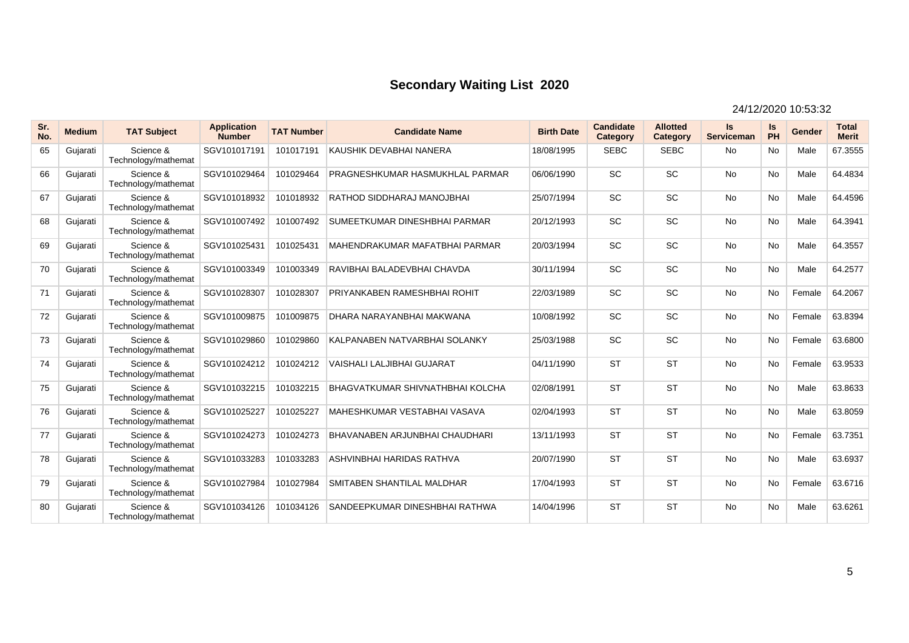| Sr.<br>No. | <b>Medium</b> | <b>TAT Subject</b>               | <b>Application</b><br><b>Number</b> | <b>TAT Number</b> | <b>Candidate Name</b>                   | <b>Birth Date</b> | Candidate<br>Category | <b>Allotted</b><br>Category | <b>Is</b><br><b>Serviceman</b> | Is<br>PH  | Gender | <b>Total</b><br><b>Merit</b> |
|------------|---------------|----------------------------------|-------------------------------------|-------------------|-----------------------------------------|-------------------|-----------------------|-----------------------------|--------------------------------|-----------|--------|------------------------------|
| 65         | Gujarati      | Science &<br>Technology/mathemat | SGV101017191                        | 101017191         | KAUSHIK DEVABHAI NANERA                 | 18/08/1995        | <b>SEBC</b>           | <b>SEBC</b>                 | <b>No</b>                      | <b>No</b> | Male   | 67.3555                      |
| 66         | Gujarati      | Science &<br>Technology/mathemat | SGV101029464                        | 101029464         | PRAGNESHKUMAR HASMUKHLAL PARMAR         | 06/06/1990        | SC                    | SC                          | <b>No</b>                      | No        | Male   | 64.4834                      |
| 67         | Gujarati      | Science &<br>Technology/mathemat | SGV101018932                        | 101018932         | RATHOD SIDDHARAJ MANOJBHAI              | 25/07/1994        | <b>SC</b>             | <b>SC</b>                   | <b>No</b>                      | <b>No</b> | Male   | 64.4596                      |
| 68         | Gujarati      | Science &<br>Technology/mathemat | SGV101007492                        | 101007492         | SUMEETKUMAR DINESHBHAI PARMAR           | 20/12/1993        | SC                    | <b>SC</b>                   | <b>No</b>                      | <b>No</b> | Male   | 64.3941                      |
| 69         | Gujarati      | Science &<br>Technology/mathemat | SGV101025431                        | 101025431         | MAHENDRAKUMAR MAFATBHAI PARMAR          | 20/03/1994        | <b>SC</b>             | <b>SC</b>                   | <b>No</b>                      | <b>No</b> | Male   | 64.3557                      |
| 70         | Gujarati      | Science &<br>Technology/mathemat | SGV101003349                        | 101003349         | RAVIBHAI BALADEVBHAI CHAVDA             | 30/11/1994        | <b>SC</b>             | <b>SC</b>                   | <b>No</b>                      | <b>No</b> | Male   | 64.2577                      |
| 71         | Gujarati      | Science &<br>Technology/mathemat | SGV101028307                        | 101028307         | PRIYANKABEN RAMESHBHAI ROHIT            | 22/03/1989        | <b>SC</b>             | <b>SC</b>                   | <b>No</b>                      | <b>No</b> | Female | 64.2067                      |
| 72         | Gujarati      | Science &<br>Technology/mathemat | SGV101009875                        | 101009875         | DHARA NARAYANBHAI MAKWANA               | 10/08/1992        | <b>SC</b>             | <b>SC</b>                   | <b>No</b>                      | <b>No</b> | Female | 63.8394                      |
| 73         | Gujarati      | Science &<br>Technology/mathemat | SGV101029860                        | 101029860         | KALPANABEN NATVARBHAI SOLANKY           | 25/03/1988        | <b>SC</b>             | <b>SC</b>                   | <b>No</b>                      | No        | Female | 63.6800                      |
| 74         | Gujarati      | Science &<br>Technology/mathemat | SGV101024212                        | 101024212         | VAISHALI LALJIBHAI GUJARAT              | 04/11/1990        | <b>ST</b>             | <b>ST</b>                   | <b>No</b>                      | No        | Female | 63.9533                      |
| 75         | Gujarati      | Science &<br>Technology/mathemat | SGV101032215                        | 101032215         | <b>BHAGVATKUMAR SHIVNATHBHAI KOLCHA</b> | 02/08/1991        | <b>ST</b>             | <b>ST</b>                   | <b>No</b>                      | <b>No</b> | Male   | 63.8633                      |
| 76         | Gujarati      | Science &<br>Technology/mathemat | SGV101025227                        | 101025227         | MAHESHKUMAR VESTABHAI VASAVA            | 02/04/1993        | <b>ST</b>             | <b>ST</b>                   | <b>No</b>                      | <b>No</b> | Male   | 63.8059                      |
| 77         | Guiarati      | Science &<br>Technology/mathemat | SGV101024273                        | 101024273         | BHAVANABEN ARJUNBHAI CHAUDHARI          | 13/11/1993        | <b>ST</b>             | <b>ST</b>                   | <b>No</b>                      | <b>No</b> | Female | 63.7351                      |
| 78         | Gujarati      | Science &<br>Technology/mathemat | SGV101033283                        | 101033283         | ASHVINBHAI HARIDAS RATHVA               | 20/07/1990        | <b>ST</b>             | <b>ST</b>                   | <b>No</b>                      | <b>No</b> | Male   | 63.6937                      |
| 79         | Gujarati      | Science &<br>Technology/mathemat | SGV101027984                        | 101027984         | SMITABEN SHANTILAL MALDHAR              | 17/04/1993        | <b>ST</b>             | <b>ST</b>                   | <b>No</b>                      | No        | Female | 63.6716                      |
| 80         | Gujarati      | Science &<br>Technology/mathemat | SGV101034126                        | 101034126         | SANDEEPKUMAR DINESHBHAI RATHWA          | 14/04/1996        | <b>ST</b>             | <b>ST</b>                   | <b>No</b>                      | <b>No</b> | Male   | 63.6261                      |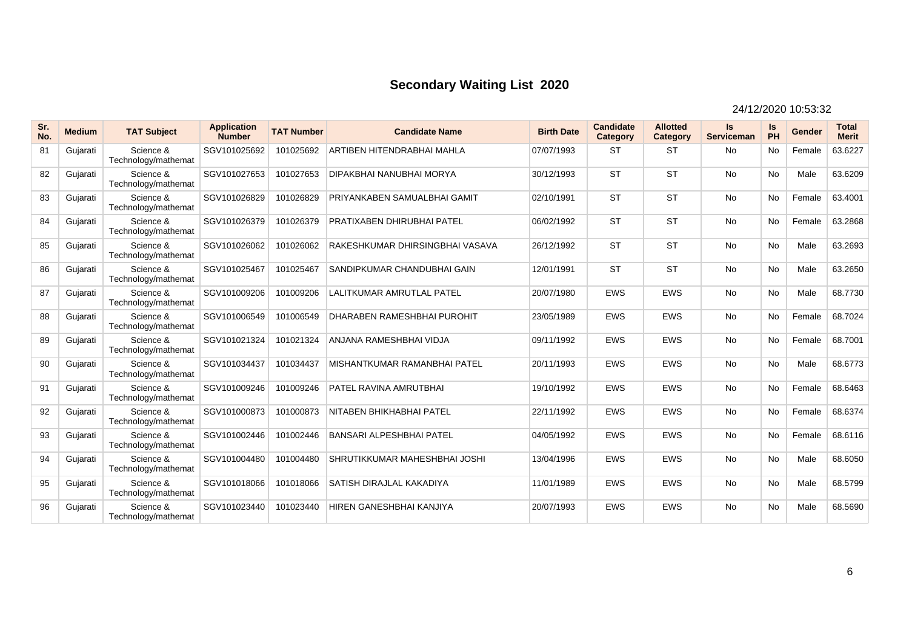| Sr.<br>No. | <b>Medium</b> | <b>TAT Subject</b>               | <b>Application</b><br><b>Number</b> | <b>TAT Number</b> | <b>Candidate Name</b>              | <b>Birth Date</b> | <b>Candidate</b><br>Category | <b>Allotted</b><br>Category | <b>Is</b><br><b>Serviceman</b> | Is<br>PH  | Gender | <b>Total</b><br><b>Merit</b> |
|------------|---------------|----------------------------------|-------------------------------------|-------------------|------------------------------------|-------------------|------------------------------|-----------------------------|--------------------------------|-----------|--------|------------------------------|
| 81         | Gujarati      | Science &<br>Technology/mathemat | SGV101025692                        | 101025692         | ARTIBEN HITENDRABHAI MAHLA         | 07/07/1993        | <b>ST</b>                    | <b>ST</b>                   | <b>No</b>                      | <b>No</b> | Female | 63.6227                      |
| 82         | Gujarati      | Science &<br>Technology/mathemat | SGV101027653                        | 101027653         | DIPAKBHAI NANUBHAI MORYA           | 30/12/1993        | <b>ST</b>                    | <b>ST</b>                   | <b>No</b>                      | No        | Male   | 63.6209                      |
| 83         | Gujarati      | Science &<br>Technology/mathemat | SGV101026829                        | 101026829         | PRIYANKABEN SAMUALBHAI GAMIT       | 02/10/1991        | <b>ST</b>                    | <b>ST</b>                   | <b>No</b>                      | <b>No</b> | Female | 63.4001                      |
| 84         | Gujarati      | Science &<br>Technology/mathemat | SGV101026379                        | 101026379         | PRATIXABEN DHIRUBHAI PATEL         | 06/02/1992        | <b>ST</b>                    | <b>ST</b>                   | <b>No</b>                      | <b>No</b> | Female | 63.2868                      |
| 85         | Gujarati      | Science &<br>Technology/mathemat | SGV101026062                        | 101026062         | RAKESHKUMAR DHIRSINGBHAI VASAVA    | 26/12/1992        | <b>ST</b>                    | <b>ST</b>                   | <b>No</b>                      | <b>No</b> | Male   | 63.2693                      |
| 86         | Gujarati      | Science &<br>Technology/mathemat | SGV101025467                        | 101025467         | SANDIPKUMAR CHANDUBHAI GAIN        | 12/01/1991        | <b>ST</b>                    | <b>ST</b>                   | <b>No</b>                      | <b>No</b> | Male   | 63.2650                      |
| 87         | Gujarati      | Science &<br>Technology/mathemat | SGV101009206                        | 101009206         | LALITKUMAR AMRUTLAL PATEL          | 20/07/1980        | EWS                          | <b>EWS</b>                  | <b>No</b>                      | <b>No</b> | Male   | 68.7730                      |
| 88         | Gujarati      | Science &<br>Technology/mathemat | SGV101006549                        | 101006549         | <b>DHARABEN RAMESHBHAI PUROHIT</b> | 23/05/1989        | <b>EWS</b>                   | <b>EWS</b>                  | <b>No</b>                      | <b>No</b> | Female | 68.7024                      |
| 89         | Gujarati      | Science &<br>Technology/mathemat | SGV101021324                        | 101021324         | ANJANA RAMESHBHAI VIDJA            | 09/11/1992        | <b>EWS</b>                   | <b>EWS</b>                  | <b>No</b>                      | No        | Female | 68.7001                      |
| 90         | Gujarati      | Science &<br>Technology/mathemat | SGV101034437                        | 101034437         | MISHANTKUMAR RAMANBHAI PATEL       | 20/11/1993        | <b>EWS</b>                   | <b>EWS</b>                  | <b>No</b>                      | <b>No</b> | Male   | 68.6773                      |
| 91         | Gujarati      | Science &<br>Technology/mathemat | SGV101009246                        | 101009246         | PATEL RAVINA AMRUTBHAI             | 19/10/1992        | EWS                          | <b>EWS</b>                  | <b>No</b>                      | <b>No</b> | Female | 68.6463                      |
| 92         | Gujarati      | Science &<br>Technology/mathemat | SGV101000873                        | 101000873         | NITABEN BHIKHABHAI PATEL           | 22/11/1992        | <b>EWS</b>                   | <b>EWS</b>                  | <b>No</b>                      | No        | Female | 68.6374                      |
| 93         | Gujarati      | Science &<br>Technology/mathemat | SGV101002446                        | 101002446         | <b>BANSARI ALPESHBHAI PATEL</b>    | 04/05/1992        | <b>EWS</b>                   | <b>EWS</b>                  | <b>No</b>                      | <b>No</b> | Female | 68.6116                      |
| 94         | Gujarati      | Science &<br>Technology/mathemat | SGV101004480                        | 101004480         | SHRUTIKKUMAR MAHESHBHAI JOSHI      | 13/04/1996        | <b>EWS</b>                   | <b>EWS</b>                  | <b>No</b>                      | <b>No</b> | Male   | 68.6050                      |
| 95         | Gujarati      | Science &<br>Technology/mathemat | SGV101018066                        | 101018066         | SATISH DIRAJLAL KAKADIYA           | 11/01/1989        | <b>EWS</b>                   | <b>EWS</b>                  | <b>No</b>                      | <b>No</b> | Male   | 68.5799                      |
| 96         | Gujarati      | Science &<br>Technology/mathemat | SGV101023440                        | 101023440         | HIREN GANESHBHAI KANJIYA           | 20/07/1993        | <b>EWS</b>                   | <b>EWS</b>                  | <b>No</b>                      | <b>No</b> | Male   | 68.5690                      |